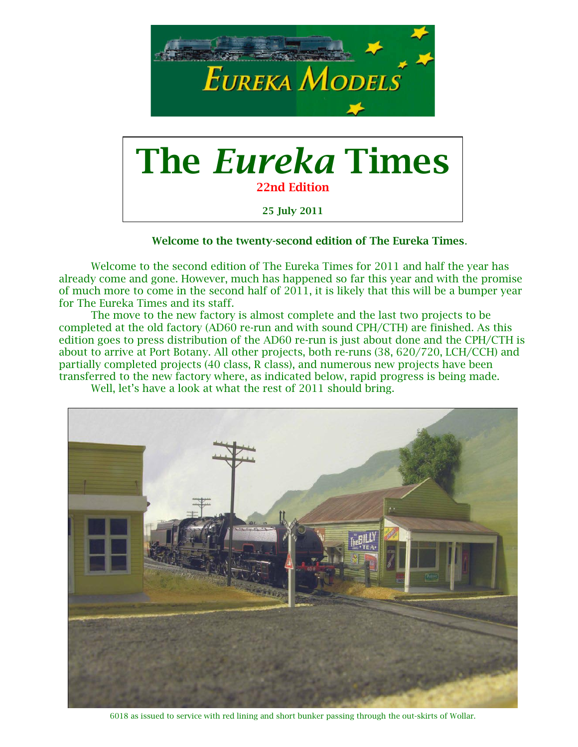

### Welcome to the twenty-second edition of The Eureka Times.

Welcome to the second edition of The Eureka Times for 2011 and half the year has already come and gone. However, much has happened so far this year and with the promise of much more to come in the second half of 2011, it is likely that this will be a bumper year for The Eureka Times and its staff.

The move to the new factory is almost complete and the last two projects to be completed at the old factory (AD60 re-run and with sound CPH/CTH) are finished. As this edition goes to press distribution of the AD60 re-run is just about done and the CPH/CTH is about to arrive at Port Botany. All other projects, both re-runs (38, 620/720, LCH/CCH) and partially completed projects (40 class, R class), and numerous new projects have been transferred to the new factory where, as indicated below, rapid progress is being made.

Well, let's have a look at what the rest of 2011 should bring.



6018 as issued to service with red lining and short bunker passing through the out-skirts of Wollar.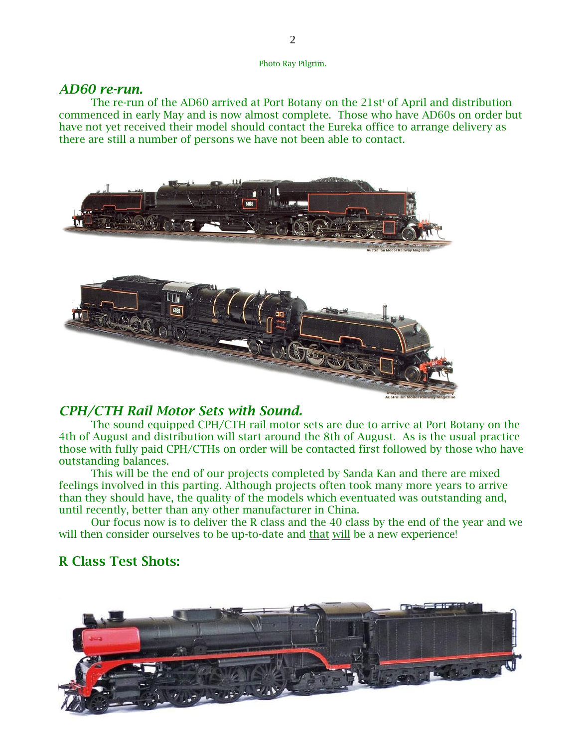Photo Ray Pilgrim.

### *AD60 re-run.*

The re-run of the AD60 arrived at Port Botany on the  $21st<sup>t</sup>$  of April and distribution commenced in early May and is now almost complete. Those who have AD60s on order but have not yet received their model should contact the Eureka office to arrange delivery as there are still a number of persons we have not been able to contact.



### *CPH/CTH Rail Motor Sets with Sound.*

The sound equipped CPH/CTH rail motor sets are due to arrive at Port Botany on the 4th of August and distribution will start around the 8th of August. As is the usual practice those with fully paid CPH/CTHs on order will be contacted first followed by those who have outstanding balances.

This will be the end of our projects completed by Sanda Kan and there are mixed feelings involved in this parting. Although projects often took many more years to arrive than they should have, the quality of the models which eventuated was outstanding and, until recently, better than any other manufacturer in China.

Our focus now is to deliver the R class and the 40 class by the end of the year and we will then consider ourselves to be up-to-date and that will be a new experience!

# R Class Test Shots:

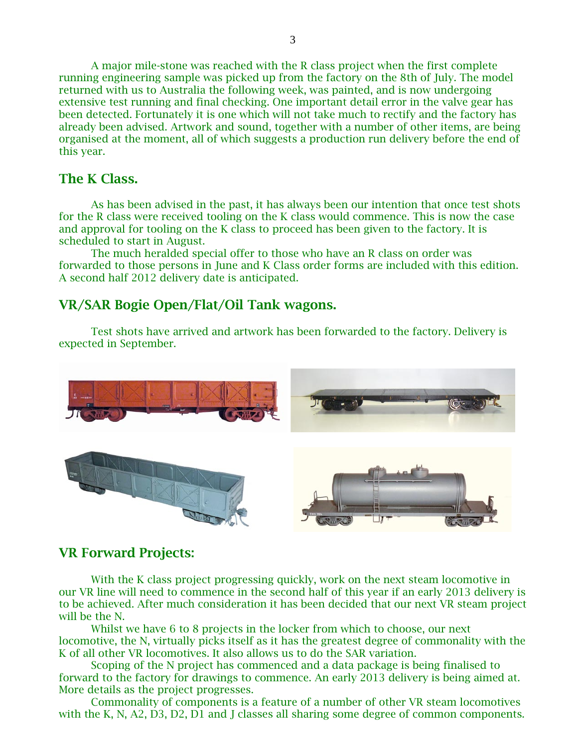A major mile-stone was reached with the R class project when the first complete running engineering sample was picked up from the factory on the 8th of July. The model returned with us to Australia the following week, was painted, and is now undergoing extensive test running and final checking. One important detail error in the valve gear has been detected. Fortunately it is one which will not take much to rectify and the factory has already been advised. Artwork and sound, together with a number of other items, are being organised at the moment, all of which suggests a production run delivery before the end of this year.

# The K Class.

As has been advised in the past, it has always been our intention that once test shots for the R class were received tooling on the K class would commence. This is now the case and approval for tooling on the K class to proceed has been given to the factory. It is scheduled to start in August.

The much heralded special offer to those who have an R class on order was forwarded to those persons in June and K Class order forms are included with this edition. A second half 2012 delivery date is anticipated.

# VR/SAR Bogie Open/Flat/Oil Tank wagons.

Test shots have arrived and artwork has been forwarded to the factory. Delivery is expected in September.



# VR Forward Projects:

With the K class project progressing quickly, work on the next steam locomotive in our VR line will need to commence in the second half of this year if an early 2013 delivery is to be achieved. After much consideration it has been decided that our next VR steam project will be the N.

Whilst we have 6 to 8 projects in the locker from which to choose, our next locomotive, the N, virtually picks itself as it has the greatest degree of commonality with the K of all other VR locomotives. It also allows us to do the SAR variation.

Scoping of the N project has commenced and a data package is being finalised to forward to the factory for drawings to commence. An early 2013 delivery is being aimed at. More details as the project progresses.

Commonality of components is a feature of a number of other VR steam locomotives with the K, N, A2, D3, D2, D1 and J classes all sharing some degree of common components.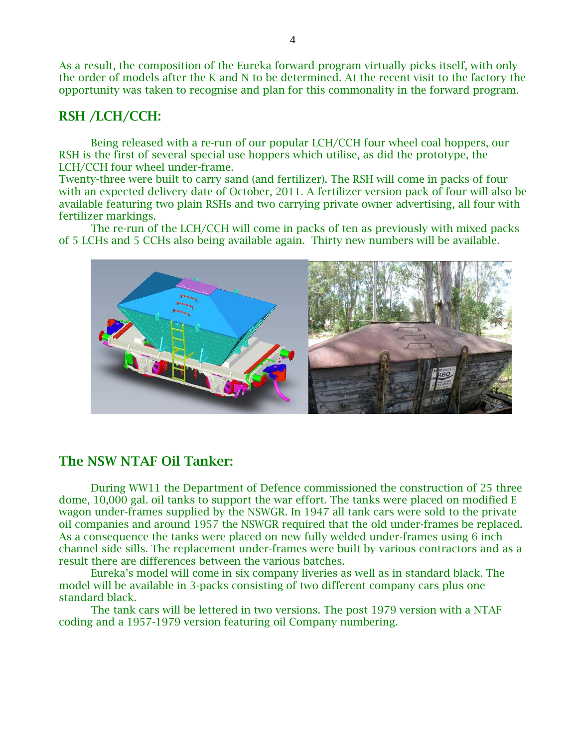As a result, the composition of the Eureka forward program virtually picks itself, with only the order of models after the K and N to be determined. At the recent visit to the factory the opportunity was taken to recognise and plan for this commonality in the forward program.

# RSH /LCH/CCH:

Being released with a re-run of our popular LCH/CCH four wheel coal hoppers, our RSH is the first of several special use hoppers which utilise, as did the prototype, the LCH/CCH four wheel under-frame.

Twenty-three were built to carry sand (and fertilizer). The RSH will come in packs of four with an expected delivery date of October, 2011. A fertilizer version pack of four will also be available featuring two plain RSHs and two carrying private owner advertising, all four with fertilizer markings.

The re-run of the LCH/CCH will come in packs of ten as previously with mixed packs of 5 LCHs and 5 CCHs also being available again. Thirty new numbers will be available.



## The NSW NTAF Oil Tanker:

During WW11 the Department of Defence commissioned the construction of 25 three dome, 10,000 gal. oil tanks to support the war effort. The tanks were placed on modified E wagon under-frames supplied by the NSWGR. In 1947 all tank cars were sold to the private oil companies and around 1957 the NSWGR required that the old under-frames be replaced. As a consequence the tanks were placed on new fully welded under-frames using 6 inch channel side sills. The replacement under-frames were built by various contractors and as a result there are differences between the various batches.

Eureka's model will come in six company liveries as well as in standard black. The model will be available in 3-packs consisting of two different company cars plus one standard black.

The tank cars will be lettered in two versions. The post 1979 version with a NTAF coding and a 1957-1979 version featuring oil Company numbering.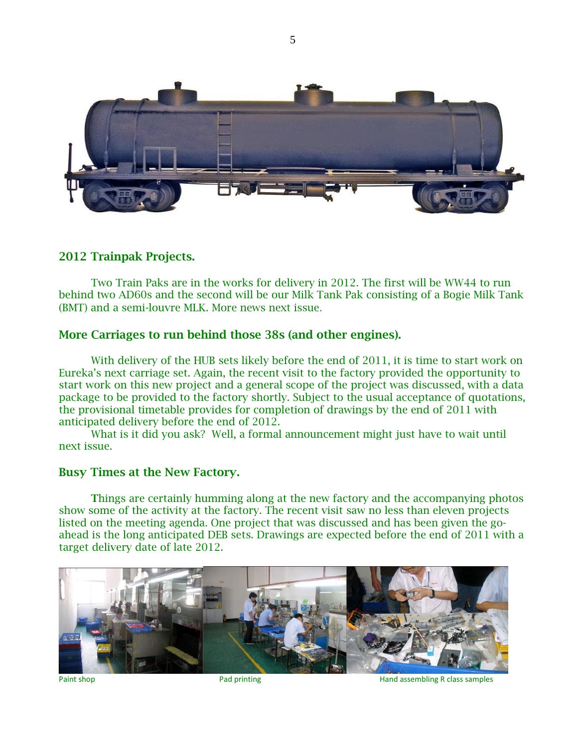

### 2012 Trainpak Projects.

Two Train Paks are in the works for delivery in 2012. The first will be WW44 to run behind two AD60s and the second will be our Milk Tank Pak consisting of a Bogie Milk Tank (BMT) and a semi-louvre MLK. More news next issue.

### More Carriages to run behind those 38s (and other engines).

With delivery of the HUB sets likely before the end of 2011, it is time to start work on Eureka's next carriage set. Again, the recent visit to the factory provided the opportunity to start work on this new project and a general scope of the project was discussed, with a data package to be provided to the factory shortly. Subject to the usual acceptance of quotations, the provisional timetable provides for completion of drawings by the end of 2011 with anticipated delivery before the end of 2012.

What is it did you ask? Well, a formal announcement might just have to wait until next issue.

### Busy Times at the New Factory.

Things are certainly humming along at the new factory and the accompanying photos show some of the activity at the factory. The recent visit saw no less than eleven projects listed on the meeting agenda. One project that was discussed and has been given the goahead is the long anticipated DEB sets. Drawings are expected before the end of 2011 with a target delivery date of late 2012.



Paint shop **Paint shop** Pad printing **Paint Shop** Hand assembling R class samples